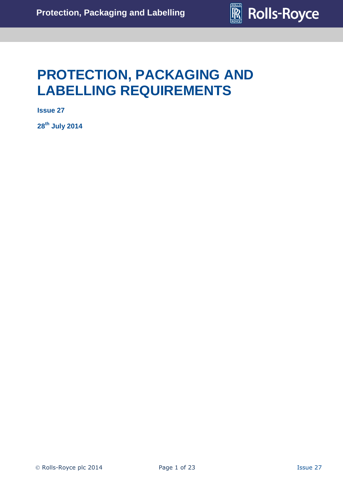

# **PROTECTION, PACKAGING AND LABELLING REQUIREMENTS**

**Issue 27**

**28 th July 2014**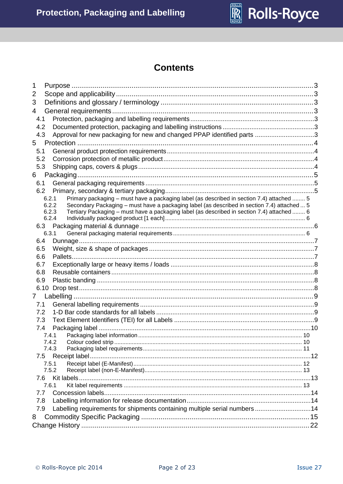

# **Contents**

| 1   |                                                                                                      |  |
|-----|------------------------------------------------------------------------------------------------------|--|
| 2   |                                                                                                      |  |
| 3   |                                                                                                      |  |
| 4   |                                                                                                      |  |
| 4.1 |                                                                                                      |  |
| 4.2 |                                                                                                      |  |
| 4.3 | Approval for new packaging for new and changed PPAP identified parts 3                               |  |
| 5   |                                                                                                      |  |
| 5.1 |                                                                                                      |  |
| 5.2 |                                                                                                      |  |
| 5.3 |                                                                                                      |  |
| 6   |                                                                                                      |  |
| 6.1 |                                                                                                      |  |
| 6.2 |                                                                                                      |  |
|     | Primary packaging - must have a packaging label (as described in section 7.4) attached  5<br>6.2.1   |  |
|     | 6.2.2<br>Secondary Packaging - must have a packaging label (as described in section 7.4) attached  5 |  |
|     | 6.2.3<br>Tertiary Packaging - must have a packaging label (as described in section 7.4) attached  6  |  |
|     | 6.2.4                                                                                                |  |
|     | 6.3.1                                                                                                |  |
| 6.4 |                                                                                                      |  |
| 6.5 |                                                                                                      |  |
| 6.6 |                                                                                                      |  |
| 6.7 |                                                                                                      |  |
| 6.8 |                                                                                                      |  |
| 6.9 |                                                                                                      |  |
|     | 6.10                                                                                                 |  |
| 7   |                                                                                                      |  |
| 7.1 |                                                                                                      |  |
| 7.2 |                                                                                                      |  |
| 7.3 |                                                                                                      |  |
| 7.4 |                                                                                                      |  |
|     | 7.4.1                                                                                                |  |
|     | 7.4.2                                                                                                |  |
|     | 7.4.3                                                                                                |  |
|     | 7.5                                                                                                  |  |
|     | 7.5.1                                                                                                |  |
|     | 7.5.2                                                                                                |  |
| 7.6 |                                                                                                      |  |
| 7.7 | 7.6.1                                                                                                |  |
| 7.8 |                                                                                                      |  |
| 7.9 | Labelling requirements for shipments containing multiple serial numbers14                            |  |
|     |                                                                                                      |  |
| 8   |                                                                                                      |  |
|     |                                                                                                      |  |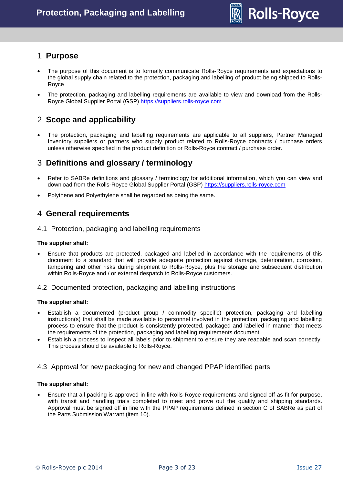

# <span id="page-2-0"></span>1 **Purpose**

- The purpose of this document is to formally communicate Rolls-Royce requirements and expectations to the global supply chain related to the protection, packaging and labelling of product being shipped to Rolls-Royce
- The protection, packaging and labelling requirements are available to view and download from the Rolls-Royce Global Supplier Portal (GSP) [https://suppliers.rolls-royce.com](https://suppliers.rolls-royce.com/)

# <span id="page-2-1"></span>2 **Scope and applicability**

 The protection, packaging and labelling requirements are applicable to all suppliers, Partner Managed Inventory suppliers or partners who supply product related to Rolls-Royce contracts / purchase orders unless otherwise specified in the product definition or Rolls-Royce contract / purchase order.

# <span id="page-2-2"></span>3 **Definitions and glossary / terminology**

- Refer to SABRe definitions and glossary / terminology for additional information, which you can view and download from the Rolls-Royce Global Supplier Portal (GSP) [https://suppliers.rolls-royce.com](https://suppliers.rolls-royce.com/)
- Polythene and Polyethylene shall be regarded as being the same.

# <span id="page-2-3"></span>4 **General requirements**

<span id="page-2-4"></span>4.1 Protection, packaging and labelling requirements

#### **The supplier shall:**

 Ensure that products are protected, packaged and labelled in accordance with the requirements of this document to a standard that will provide adequate protection against damage, deterioration, corrosion, tampering and other risks during shipment to Rolls-Royce, plus the storage and subsequent distribution within Rolls-Royce and / or external despatch to Rolls-Royce customers.

# <span id="page-2-5"></span>4.2 Documented protection, packaging and labelling instructions

#### **The supplier shall:**

- Establish a documented (product group / commodity specific) protection, packaging and labelling instruction(s) that shall be made available to personnel involved in the protection, packaging and labelling process to ensure that the product is consistently protected, packaged and labelled in manner that meets the requirements of the protection, packaging and labelling requirements document.
- Establish a process to inspect all labels prior to shipment to ensure they are readable and scan correctly. This process should be available to Rolls-Royce.

# <span id="page-2-6"></span>4.3 Approval for new packaging for new and changed PPAP identified parts

#### **The supplier shall:**

 Ensure that all packing is approved in line with Rolls-Royce requirements and signed off as fit for purpose, with transit and handling trials completed to meet and prove out the quality and shipping standards. Approval must be signed off in line with the PPAP requirements defined in section C of SABRe as part of the Parts Submission Warrant (item 10).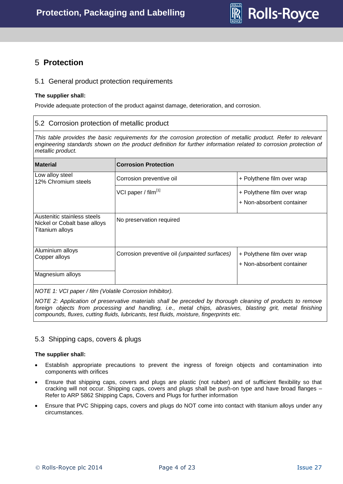

# <span id="page-3-0"></span>5 **Protection**

# <span id="page-3-1"></span>5.1 General product protection requirements

#### **The supplier shall:**

Provide adequate protection of the product against damage, deterioration, and corrosion.

# <span id="page-3-2"></span>5.2 Corrosion protection of metallic product

*This table provides the basic requirements for the corrosion protection of metallic product. Refer to relevant*  engineering standards shown on the product definition for further information related to corrosion protection of *metallic product.* 

| <b>Material</b>                                                                | <b>Corrosion Protection</b>                   |                                                         |  |  |
|--------------------------------------------------------------------------------|-----------------------------------------------|---------------------------------------------------------|--|--|
| Low alloy steel<br>12% Chromium steels                                         | Corrosion preventive oil                      | + Polythene film over wrap                              |  |  |
|                                                                                | VCI paper / film <sup>[1]</sup>               | + Polythene film over wrap<br>+ Non-absorbent container |  |  |
| Austenitic stainless steels<br>Nickel or Cobalt base alloys<br>Titanium alloys | No preservation required                      |                                                         |  |  |
| Aluminium alloys<br>Copper alloys                                              | Corrosion preventive oil (unpainted surfaces) | + Polythene film over wrap<br>+ Non-absorbent container |  |  |
| Magnesium alloys                                                               |                                               |                                                         |  |  |

*NOTE 1: VCI paper / film (Volatile Corrosion Inhibitor).*

*NOTE 2: Application of preservative materials shall be preceded by thorough cleaning of products to remove foreign objects from processing and handling, i.e., metal chips, abrasives, blasting grit, metal finishing compounds, fluxes, cutting fluids, lubricants, test fluids, moisture, fingerprints etc.*

# <span id="page-3-3"></span>5.3 Shipping caps, covers & plugs

#### **The supplier shall:**

- Establish appropriate precautions to prevent the ingress of foreign objects and contamination into components with orifices
- Ensure that shipping caps, covers and plugs are plastic (not rubber) and of sufficient flexibility so that cracking will not occur. Shipping caps, covers and plugs shall be push-on type and have broad flanges – Refer to ARP 5862 Shipping Caps, Covers and Plugs for further information
- Ensure that PVC Shipping caps, covers and plugs do NOT come into contact with titanium alloys under any circumstances.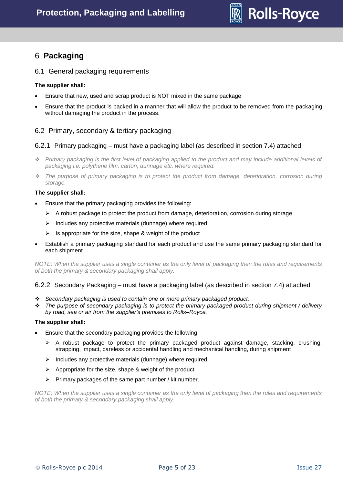

# <span id="page-4-0"></span>6 **Packaging**

# <span id="page-4-1"></span>6.1 General packaging requirements

### **The supplier shall:**

- Ensure that new, used and scrap product is NOT mixed in the same package
- Ensure that the product is packed in a manner that will allow the product to be removed from the packaging without damaging the product in the process.

# <span id="page-4-2"></span>6.2 Primary, secondary & tertiary packaging

### <span id="page-4-3"></span>6.2.1 Primary packaging – must have a packaging label (as described in section 7.4) attached

- *Primary packaging is the first level of packaging applied to the product and may include additional levels of packaging i.e. polythene film, carton, dunnage etc, where required.*
- *The purpose of primary packaging is to protect the product from damage, deterioration, corrosion during storage.*

#### **The supplier shall:**

- Ensure that the primary packaging provides the following:
	- $\triangleright$  A robust package to protect the product from damage, deterioration, corrosion during storage
	- $\triangleright$  Includes any protective materials (dunnage) where required
	- $\triangleright$  Is appropriate for the size, shape & weight of the product
- Establish a primary packaging standard for each product and use the same primary packaging standard for each shipment.

*NOTE: When the supplier uses a single container as the only level of packaging then the rules and requirements of both the primary & secondary packaging shall apply.* 

#### <span id="page-4-4"></span>6.2.2 Secondary Packaging – must have a packaging label (as described in section 7.4) attached

- *Secondary packaging is used to contain one or more primary packaged product.*
- *The purpose of secondary packaging is to protect the primary packaged product during shipment / delivery by road, sea or air from the supplier's premises to Rolls–Royce.*

#### **The supplier shall:**

- Ensure that the secondary packaging provides the following:
	- $\triangleright$  A robust package to protect the primary packaged product against damage, stacking, crushing, strapping, impact, careless or accidental handling and mechanical handling, during shipment
	- $\triangleright$  Includes any protective materials (dunnage) where required
	- $\triangleright$  Appropriate for the size, shape & weight of the product
	- $\triangleright$  Primary packages of the same part number / kit number.

*NOTE: When the supplier uses a single container as the only level of packaging then the rules and requirements of both the primary & secondary packaging shall apply.*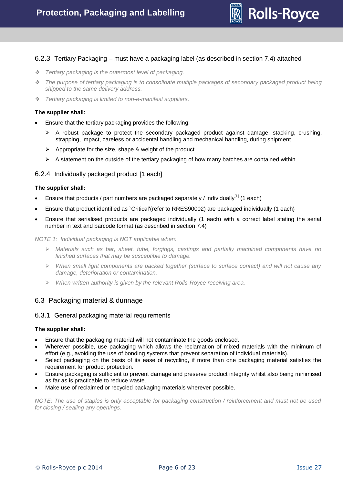

# <span id="page-5-0"></span>6.2.3 Tertiary Packaging – must have a packaging label (as described in section 7.4) attached

- *Tertiary packaging is the outermost level of packaging.*
- *The purpose of tertiary packaging is to consolidate multiple packages of secondary packaged product being shipped to the same delivery address.*
- *Tertiary packaging is limited to non-e-manifest suppliers.*

#### **The supplier shall:**

- Ensure that the tertiary packaging provides the following:
	- $\triangleright$  A robust package to protect the secondary packaged product against damage, stacking, crushing, strapping, impact, careless or accidental handling and mechanical handling, during shipment
	- $\triangleright$  Appropriate for the size, shape & weight of the product
	- $\triangleright$  A statement on the outside of the tertiary packaging of how many batches are contained within.

### <span id="page-5-1"></span>6.2.4 Individually packaged product [1 each]

#### **The supplier shall:**

- Ensure that products / part numbers are packaged separately / individually $^{[1]}$  (1 each)
- Ensure that product identified as `Critical'(refer to RRES90002) are packaged individually (1 each)
- Ensure that serialised products are packaged individually (1 each) with a correct label stating the serial number in text and barcode format (as described in section 7.4)

*NOTE 1: Individual packaging is NOT applicable when:*

- *Materials such as bar, sheet, tube, forgings, castings and partially machined components have no finished surfaces that may be susceptible to damage.*
- *When small light components are packed together (surface to surface contact) and will not cause any damage, deterioration or contamination.*
- *When written authority is given by the relevant Rolls-Royce receiving area.*

#### <span id="page-5-2"></span>6.3 Packaging material & dunnage

#### <span id="page-5-3"></span>6.3.1 General packaging material requirements

#### **The supplier shall:**

- Ensure that the packaging material will not contaminate the goods enclosed.
- Wherever possible, use packaging which allows the reclamation of mixed materials with the minimum of effort (e.g., avoiding the use of bonding systems that prevent separation of individual materials).
- Select packaging on the basis of its ease of recycling, if more than one packaging material satisfies the requirement for product protection.
- Ensure packaging is sufficient to prevent damage and preserve product integrity whilst also being minimised as far as is practicable to reduce waste.
- Make use of reclaimed or recycled packaging materials wherever possible.

*NOTE: The use of staples is only acceptable for packaging construction / reinforcement and must not be used for closing / sealing any openings.*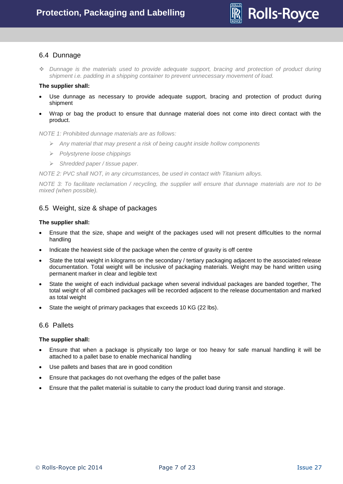

# <span id="page-6-0"></span>6.4 Dunnage

 *Dunnage is the materials used to provide adequate support, bracing and protection of product during shipment i.e. padding in a shipping container to prevent unnecessary movement of load.* 

#### **The supplier shall:**

- Use dunnage as necessary to provide adequate support, bracing and protection of product during shipment
- Wrap or bag the product to ensure that dunnage material does not come into direct contact with the product.

*NOTE 1: Prohibited dunnage materials are as follows:* 

- *Any material that may present a risk of being caught inside hollow components*
- *Polystyrene loose chippings*
- *Shredded paper / tissue paper.*

*NOTE 2: PVC shall NOT, in any circumstances, be used in contact with Titanium alloys.*

*NOTE 3: To facilitate reclamation / recycling, the supplier will ensure that dunnage materials are not to be mixed (when possible).*

# <span id="page-6-1"></span>6.5 Weight, size & shape of packages

#### **The supplier shall:**

- Ensure that the size, shape and weight of the packages used will not present difficulties to the normal handling
- Indicate the heaviest side of the package when the centre of gravity is off centre
- State the total weight in kilograms on the secondary / tertiary packaging adjacent to the associated release documentation. Total weight will be inclusive of packaging materials. Weight may be hand written using permanent marker in clear and legible text
- State the weight of each individual package when several individual packages are banded together, The total weight of all combined packages will be recorded adjacent to the release documentation and marked as total weight
- State the weight of primary packages that exceeds 10 KG (22 lbs).

#### <span id="page-6-2"></span>6.6 Pallets

#### **The supplier shall:**

- Ensure that when a package is physically too large or too heavy for safe manual handling it will be attached to a pallet base to enable mechanical handling
- Use pallets and bases that are in good condition
- Ensure that packages do not overhang the edges of the pallet base
- Ensure that the pallet material is suitable to carry the product load during transit and storage.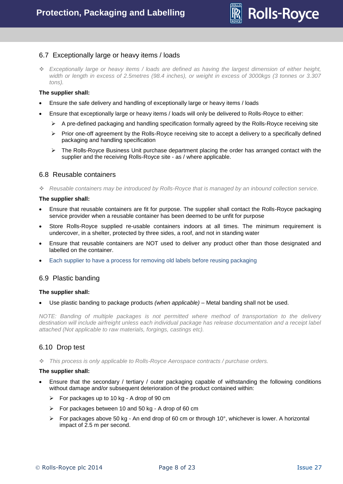

# <span id="page-7-0"></span>6.7 Exceptionally large or heavy items / loads

 *Exceptionally large or heavy items / loads are defined as having the largest dimension of either height, width or length in excess of 2.5metres (98.4 inches), or weight in excess of 3000kgs (3 tonnes or 3.307 tons).*

#### **The supplier shall:**

- Ensure the safe delivery and handling of exceptionally large or heavy items / loads
- Ensure that exceptionally large or heavy items / loads will only be delivered to Rolls-Royce to either:
	- $\triangleright$  A pre-defined packaging and handling specification formally agreed by the Rolls-Royce receiving site
	- $\triangleright$  Prior one-off agreement by the Rolls-Royce receiving site to accept a delivery to a specifically defined packaging and handling specification
	- $\triangleright$  The Rolls-Royce Business Unit purchase department placing the order has arranged contact with the supplier and the receiving Rolls-Royce site - as / where applicable.

### <span id="page-7-1"></span>6.8 Reusable containers

*Reusable containers may be introduced by Rolls-Royce that is managed by an inbound collection service.*

#### **The supplier shall:**

- Ensure that reusable containers are fit for purpose. The supplier shall contact the Rolls-Royce packaging service provider when a reusable container has been deemed to be unfit for purpose
- Store Rolls-Royce supplied re-usable containers indoors at all times. The minimum requirement is undercover, in a shelter, protected by three sides, a roof, and not in standing water
- Ensure that reusable containers are NOT used to deliver any product other than those designated and labelled on the container.
- Each supplier to have a process for removing old labels before reusing packaging

#### <span id="page-7-2"></span>6.9 Plastic banding

#### **The supplier shall:**

Use plastic banding to package products *(when applicable)* – Metal banding shall not be used.

*NOTE: Banding of multiple packages is not permitted where method of transportation to the delivery destination will include airfreight unless each individual package has release documentation and a receipt label attached (Not applicable to raw materials, forgings, castings etc).*

# <span id="page-7-3"></span>6.10 Drop test

*This process is only applicable to Rolls-Royce Aerospace contracts / purchase orders.*

#### **The supplier shall:**

- Ensure that the secondary / tertiary / outer packaging capable of withstanding the following conditions without damage and/or subsequent deterioration of the product contained within:
	- $\triangleright$  For packages up to 10 kg A drop of 90 cm
	- $\triangleright$  For packages between 10 and 50 kg A drop of 60 cm
	- For packages above 50 kg An end drop of 60 cm or through 10 $^{\circ}$ , whichever is lower. A horizontal impact of 2.5 m per second.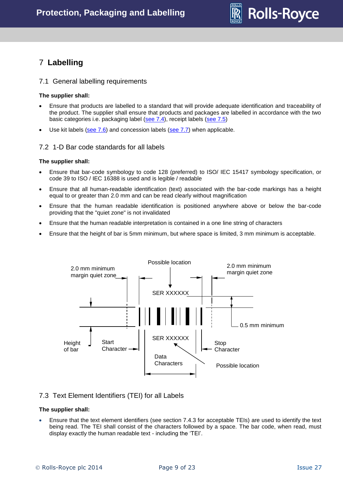

# <span id="page-8-0"></span>7 **Labelling**

### <span id="page-8-1"></span>7.1 General labelling requirements

#### **The supplier shall:**

- Ensure that products are labelled to a standard that will provide adequate identification and traceability of the product. The supplier shall ensure that products and packages are labelled in accordance with the two basic categories i.e. packaging label [\(see 7.4\)](#page-4-3), receipt labels [\(see 7.5\)](#page-11-0)
- $\bullet$  Use kit labels [\(see 7.6\)](#page-12-1) and concession labels [\(see 7.7\)](#page-13-0) when applicable.

### <span id="page-8-2"></span>7.2 1-D Bar code standards for all labels

#### **The supplier shall:**

- Ensure that bar-code symbology to code 128 (preferred) to ISO/ IEC 15417 symbology specification, or code 39 to ISO / IEC 16388 is used and is legible / readable
- Ensure that all human-readable identification (text) associated with the bar-code markings has a height equal to or greater than 2.0 mm and can be read clearly without magnification
- Ensure that the human readable identification is positioned anywhere above or below the bar-code providing that the "quiet zone" is not invalidated
- Ensure that the human readable interpretation is contained in a one line string of characters
- Ensure that the height of bar is 5mm minimum, but where space is limited, 3 mm minimum is acceptable.



# <span id="page-8-3"></span>7.3 Text Element Identifiers (TEI) for all Labels

#### **The supplier shall:**

 Ensure that the text element identifiers (see section 7.4.3 for acceptable TEIs) are used to identify the text being read. The TEI shall consist of the characters followed by a space. The bar code, when read, must display exactly the human readable text - including the 'TEI'.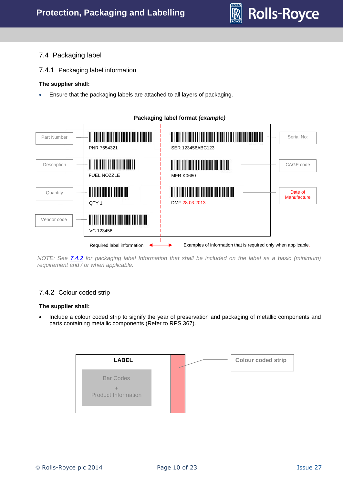

# <span id="page-9-0"></span>7.4 Packaging label

<span id="page-9-1"></span>7.4.1 Packaging label information

# **The supplier shall:**

Ensure that the packaging labels are attached to all layers of packaging.



*NOTE: See [7.4.2](#page-4-3) for packaging label Information that shall be included on the label as a basic (minimum) requirement and / or when applicable.*

# <span id="page-9-2"></span>7.4.2 Colour coded strip

# **The supplier shall:**

• Include a colour coded strip to signify the year of preservation and packaging of metallic components and parts containing metallic components (Refer to RPS 367).

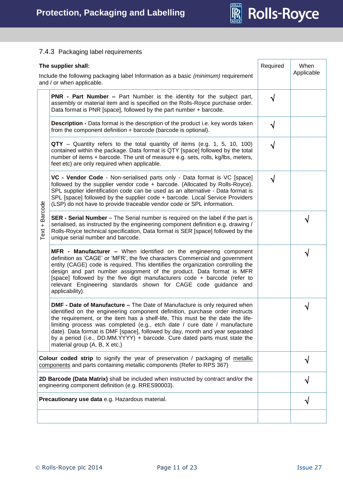

# <span id="page-10-0"></span>7.4.3 Packaging label requirements

| The supplier shall:                                                                                                                                             |                                                                                                                                                                                                                                                                                                                                                                                                                                                                                                                               | Required   | When       |
|-----------------------------------------------------------------------------------------------------------------------------------------------------------------|-------------------------------------------------------------------------------------------------------------------------------------------------------------------------------------------------------------------------------------------------------------------------------------------------------------------------------------------------------------------------------------------------------------------------------------------------------------------------------------------------------------------------------|------------|------------|
|                                                                                                                                                                 | Include the following packaging label Information as a basic (minimum) requirement<br>and / or when applicable.                                                                                                                                                                                                                                                                                                                                                                                                               |            | Applicable |
|                                                                                                                                                                 | <b>PNR - Part Number –</b> Part Number is the identity for the subject part,<br>assembly or material item and is specified on the Rolls-Royce purchase order.<br>Data format is PNR [space], followed by the part number + barcode.                                                                                                                                                                                                                                                                                           | $\sqrt{ }$ |            |
|                                                                                                                                                                 | <b>Description -</b> Data format is the description of the product i.e. key words taken<br>from the component definition + barcode (barcode is optional).                                                                                                                                                                                                                                                                                                                                                                     | $\sqrt{}$  |            |
| Barcode<br>$\ddot{}$<br>Text                                                                                                                                    | <b>QTY</b> – Quantity refers to the total quantity of items (e.g. 1, 5, 10, 100)<br>contained within the package. Data format is QTY [space] followed by the total<br>number of items + barcode. The unit of measure e.g. sets, rolls, kg/lbs, meters,<br>feet etc) are only required when applicable.                                                                                                                                                                                                                        | N          |            |
|                                                                                                                                                                 | VC - Vendor Code - Non-serialised parts only - Data format is VC [space]<br>followed by the supplier vendor code + barcode. (Allocated by Rolls-Royce).<br>SPL supplier identification code can be used as an alternative - Data format is<br>SPL [space] followed by the supplier code + barcode. Local Service Providers<br>(LSP) do not have to provide traceable vendor code or SPL information.                                                                                                                          | $\sqrt{}$  |            |
|                                                                                                                                                                 | SER - Serial Number - The Serial number is required on the label if the part is<br>serialised, as instructed by the engineering component definition e.g. drawing /<br>Rolls-Royce technical specification, Data format is SER [space] followed by the<br>unique serial number and barcode.                                                                                                                                                                                                                                   |            | V          |
|                                                                                                                                                                 | MFR - Manufacturer - When identified on the engineering component<br>definition as 'CAGE' or 'MFR', the five characters Commercial and government<br>entity (CAGE) code is required. This identifies the organization controlling the<br>design and part number assignment of the product. Data format is MFR<br>[space] followed by the five digit manufacturers code + barcode (refer to<br>relevant Engineering standards shown for CAGE code guidance and<br>applicability).                                              |            |            |
|                                                                                                                                                                 | <b>DMF - Date of Manufacture - The Date of Manufacture is only required when</b><br>identified on the engineering component definition, purchase order instructs<br>the requirement, or the item has a shelf-life. This must be the date the life-<br>limiting process was completed (e.g., etch date / cure date / manufacture<br>date). Data format is DMF [space], followed by day, month and year separated<br>by a period (i.e., DD.MM.YYYY) + barcode. Cure dated parts must state the<br>material group (A, B, X etc.) |            |            |
| <b>Colour coded strip</b> to signify the year of preservation / packaging of metallic<br>components and parts containing metallic components (Refer to RPS 367) |                                                                                                                                                                                                                                                                                                                                                                                                                                                                                                                               |            |            |
| 2D Barcode (Data Matrix) shall be included when instructed by contract and/or the<br>engineering component definition (e.g. RRES90003).                         |                                                                                                                                                                                                                                                                                                                                                                                                                                                                                                                               |            |            |
| Precautionary use data e.g. Hazardous material.                                                                                                                 |                                                                                                                                                                                                                                                                                                                                                                                                                                                                                                                               |            |            |
|                                                                                                                                                                 |                                                                                                                                                                                                                                                                                                                                                                                                                                                                                                                               |            |            |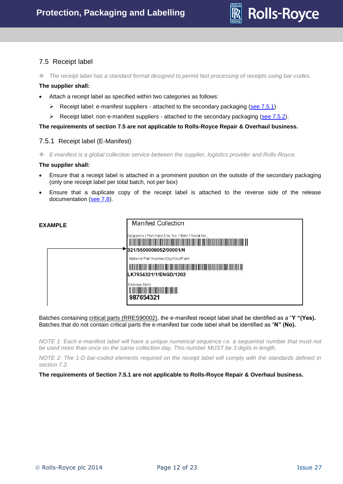

# <span id="page-11-0"></span>7.5 Receipt label

*The receipt label has a standard format designed to permit fast processing of receipts using bar-codes.* 

#### **The supplier shall:**

- Attach a receipt label as specified within two categories as follows:
	- Receipt label: e-manifest suppliers attached to the secondary packaging (see  $7.5.1$ )
	- $\triangleright$  Receipt label: non e-manifest suppliers attached to the secondary packaging [\(see 7.5.2\)](#page-12-0).

**The requirements of section 7.5 are not applicable to Rolls-Royce Repair & Overhaul business.**

#### <span id="page-11-1"></span>7.5.1 Receipt label (E-Manifest)

*E-manifest is a global collection service between the supplier, logistics provider and Rolls-Royce.* 

#### **The supplier shall:**

- Ensure that a receipt label is attached in a prominent position on the outside of the secondary packaging (only one receipt label per total batch, not per box)
- Ensure that a duplicate copy of the receipt label is attached to the reverse side of the release documentation [\(see 7.8\)](#page-13-1).



Batches containing critical parts (RRES90002), the e-manifest receipt label shall be identified as a "**Y "(Yes).** Batches that do not contain critical parts the e-manifest bar code label shall be identified as "**N" (No).**

*NOTE 1: Each e-manifest label will have a unique numerical sequence i.e. a sequential number that must not be used more than once on the same collection day. This number MUST be 3 digits in length.*

*NOTE 2: The 1-D bar-coded elements required on the receipt label will comply with the standards defined in section 7.2.*

**The requirements of Section 7.5.1 are not applicable to Rolls-Royce Repair & Overhaul business.**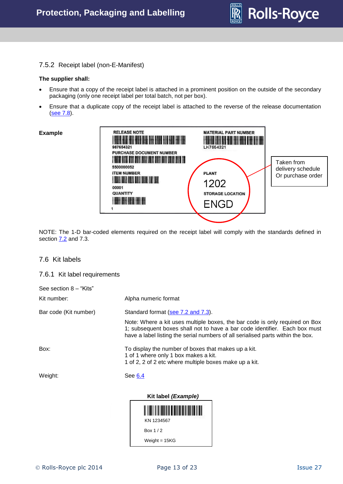

### <span id="page-12-0"></span>7.5.2 Receipt label (non-E-Manifest)

#### **The supplier shall:**

- Ensure that a copy of the receipt label is attached in a prominent position on the outside of the secondary packaging (only one receipt label per total batch, not per box).
- Ensure that a duplicate copy of the receipt label is attached to the reverse of the release documentation [\(see 7.8\)](#page-13-1).

#### **Example**



NOTE: The 1-D bar-coded elements required on the receipt label will comply with the standards defined in section  $7.2$  and  $7.3$ .

#### <span id="page-12-1"></span>7.6 Kit labels

#### <span id="page-12-2"></span>7.6.1 Kit label requirements

| See section 8 - "Kits" |                                                                                                                                                                                                                                              |
|------------------------|----------------------------------------------------------------------------------------------------------------------------------------------------------------------------------------------------------------------------------------------|
| Kit number:            | Alpha numeric format                                                                                                                                                                                                                         |
| Bar code (Kit number)  | Standard format (see 7.2 and 7.3).                                                                                                                                                                                                           |
|                        | Note: Where a kit uses multiple boxes, the bar code is only required on Box<br>1; subsequent boxes shall not to have a bar code identifier. Each box must<br>have a label listing the serial numbers of all serialised parts within the box. |
| Box:                   | To display the number of boxes that makes up a kit.<br>1 of 1 where only 1 box makes a kit.<br>1 of 2, 2 of 2 etc where multiple boxes make up a kit.                                                                                        |
| Weight:                | See 6.4                                                                                                                                                                                                                                      |
|                        | Kit label (Example)                                                                                                                                                                                                                          |

KN 1234567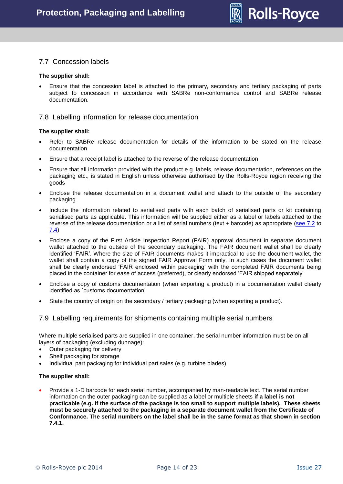

# <span id="page-13-0"></span>7.7 Concession labels

#### **The supplier shall:**

 Ensure that the concession label is attached to the primary, secondary and tertiary packaging of parts subject to concession in accordance with SABRe non-conformance control and SABRe release documentation.

#### <span id="page-13-1"></span>7.8 Labelling information for release documentation

#### **The supplier shall:**

- Refer to SABRe release documentation for details of the information to be stated on the release documentation
- Ensure that a receipt label is attached to the reverse of the release documentation
- Ensure that all information provided with the product e.g. labels, release documentation, references on the packaging etc., is stated in English unless otherwise authorised by the Rolls-Royce region receiving the goods
- Enclose the release documentation in a document wallet and attach to the outside of the secondary packaging
- Include the information related to serialised parts with each batch of serialised parts or kit containing serialised parts as applicable. This information will be supplied either as a label or labels attached to the reverse of the release documentation or a list of serial numbers (text + barcode) as appropriate [\(see 7.2](#page-8-2) to [7.4\)](#page-9-0)
- Enclose a copy of the First Article Inspection Report (FAIR) approval document in separate document wallet attached to the outside of the secondary packaging. The FAIR document wallet shall be clearly identified 'FAIR'. Where the size of FAIR documents makes it impractical to use the document wallet, the wallet shall contain a copy of the signed FAIR Approval Form only. In such cases the document wallet shall be clearly endorsed 'FAIR enclosed within packaging' with the completed FAIR documents being placed in the container for ease of access (preferred), or clearly endorsed 'FAIR shipped separately'
- Enclose a copy of customs documentation (when exporting a product) in a documentation wallet clearly identified as `customs documentation'
- State the country of origin on the secondary / tertiary packaging (when exporting a product).

#### <span id="page-13-2"></span>7.9 Labelling requirements for shipments containing multiple serial numbers

Where multiple serialised parts are supplied in one container, the serial number information must be on all layers of packaging (excluding dunnage):

- Outer packaging for delivery
- Shelf packaging for storage
- Individual part packaging for individual part sales (e.g. turbine blades)

#### **The supplier shall:**

 Provide a 1-D barcode for each serial number, accompanied by man-readable text. The serial number information on the outer packaging can be supplied as a label or multiple sheets **if a label is not practicable (e.g. if the surface of the package is too small to support multiple labels). These sheets must be securely attached to the packaging in a separate document wallet from the Certificate of Conformance. The serial numbers on the label shall be in the same format as that shown in section 7.4.1.**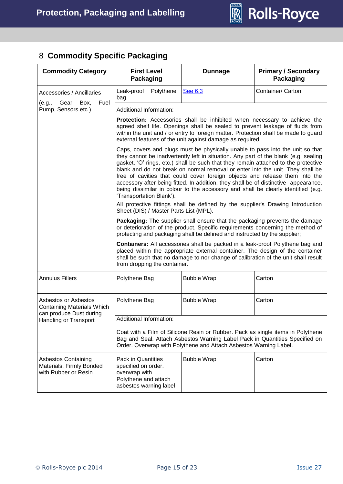

# <span id="page-14-0"></span>8 **Commodity Specific Packaging**

| <b>Commodity Category</b>                                                            | <b>First Level</b><br><b>Packaging</b>                                                                                                                                                                                                                                                                                                                                                                                                                                                                                                                                                                                                                                                                                                                            | <b>Dunnage</b>                                                                                                                                               | <b>Primary / Secondary</b><br>Packaging                                     |  |
|--------------------------------------------------------------------------------------|-------------------------------------------------------------------------------------------------------------------------------------------------------------------------------------------------------------------------------------------------------------------------------------------------------------------------------------------------------------------------------------------------------------------------------------------------------------------------------------------------------------------------------------------------------------------------------------------------------------------------------------------------------------------------------------------------------------------------------------------------------------------|--------------------------------------------------------------------------------------------------------------------------------------------------------------|-----------------------------------------------------------------------------|--|
| Accessories / Ancillaries                                                            | Polythene<br>Leak-proof<br>bag                                                                                                                                                                                                                                                                                                                                                                                                                                                                                                                                                                                                                                                                                                                                    | See 6.3                                                                                                                                                      | Container/ Carton                                                           |  |
| Fuel<br>Gear<br>Вох,<br>(e.g.,<br>Pump, Sensors etc.).                               | Additional Information:                                                                                                                                                                                                                                                                                                                                                                                                                                                                                                                                                                                                                                                                                                                                           |                                                                                                                                                              |                                                                             |  |
|                                                                                      | Protection: Accessories shall be inhibited when necessary to achieve the<br>agreed shelf life. Openings shall be sealed to prevent leakage of fluids from<br>within the unit and / or entry to foreign matter. Protection shall be made to guard<br>external features of the unit against damage as required.                                                                                                                                                                                                                                                                                                                                                                                                                                                     |                                                                                                                                                              |                                                                             |  |
|                                                                                      | Caps, covers and plugs must be physically unable to pass into the unit so that<br>they cannot be inadvertently left in situation. Any part of the blank (e.g. sealing<br>gasket, 'O' rings, etc.) shall be such that they remain attached to the protective<br>blank and do not break on normal removal or enter into the unit. They shall be<br>free of cavities that could cover foreign objects and release them into the<br>accessory after being fitted. In addition, they shall be of distinctive appearance,<br>being dissimilar in colour to the accessory and shall be clearly identified (e.g.<br>'Transportation Blank').<br>All protective fittings shall be defined by the supplier's Drawing Introduction<br>Sheet (DIS) / Master Parts List (MPL). |                                                                                                                                                              | Packaging: The supplier shall ensure that the packaging prevents the damage |  |
|                                                                                      |                                                                                                                                                                                                                                                                                                                                                                                                                                                                                                                                                                                                                                                                                                                                                                   | or deterioration of the product. Specific requirements concerning the method of<br>protecting and packaging shall be defined and instructed by the supplier; |                                                                             |  |
|                                                                                      | <b>Containers:</b> All accessories shall be packed in a leak-proof Polythene bag and<br>placed within the appropriate external container. The design of the container<br>shall be such that no damage to nor change of calibration of the unit shall result<br>from dropping the container.                                                                                                                                                                                                                                                                                                                                                                                                                                                                       |                                                                                                                                                              |                                                                             |  |
| <b>Annulus Fillers</b>                                                               | Polythene Bag                                                                                                                                                                                                                                                                                                                                                                                                                                                                                                                                                                                                                                                                                                                                                     | <b>Bubble Wrap</b>                                                                                                                                           | Carton                                                                      |  |
| Asbestos or Asbestos<br><b>Containing Materials Which</b><br>can produce Dust during | Polythene Bag                                                                                                                                                                                                                                                                                                                                                                                                                                                                                                                                                                                                                                                                                                                                                     | <b>Bubble Wrap</b>                                                                                                                                           | Carton                                                                      |  |
| Handling or Transport                                                                | Additional Information:                                                                                                                                                                                                                                                                                                                                                                                                                                                                                                                                                                                                                                                                                                                                           |                                                                                                                                                              |                                                                             |  |
|                                                                                      | Coat with a Film of Silicone Resin or Rubber. Pack as single items in Polythene<br>Bag and Seal. Attach Asbestos Warning Label Pack in Quantities Specified on<br>Order. Overwrap with Polythene and Attach Asbestos Warning Label.                                                                                                                                                                                                                                                                                                                                                                                                                                                                                                                               |                                                                                                                                                              |                                                                             |  |
| Asbestos Containing<br>Materials, Firmly Bonded<br>with Rubber or Resin              | <b>Pack in Quantities</b><br>specified on order.<br>overwrap with<br>Polythene and attach<br>asbestos warning label                                                                                                                                                                                                                                                                                                                                                                                                                                                                                                                                                                                                                                               | <b>Bubble Wrap</b>                                                                                                                                           | Carton                                                                      |  |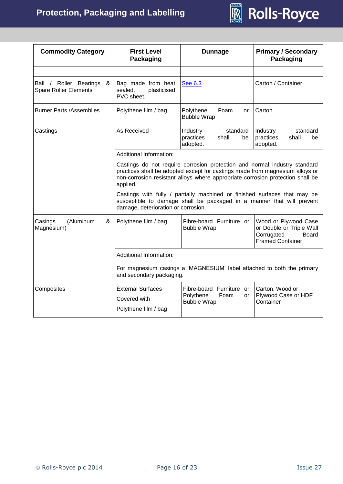

| <b>Commodity Category</b>                                   | <b>First Level</b><br>Packaging                                                                                                                                                                                                                         | <b>Dunnage</b>                                               | <b>Primary / Secondary</b><br>Packaging                                                            |  |
|-------------------------------------------------------------|---------------------------------------------------------------------------------------------------------------------------------------------------------------------------------------------------------------------------------------------------------|--------------------------------------------------------------|----------------------------------------------------------------------------------------------------|--|
|                                                             |                                                                                                                                                                                                                                                         |                                                              |                                                                                                    |  |
| Ball / Roller Bearings<br>&<br><b>Spare Roller Elements</b> | Bag made from heat<br>plasticised<br>sealed,<br>PVC sheet.                                                                                                                                                                                              | Carton / Container<br>See 6.3                                |                                                                                                    |  |
| <b>Burner Parts /Assemblies</b>                             | Polythene film / bag                                                                                                                                                                                                                                    | Polythene<br>Foam<br>or<br><b>Bubble Wrap</b>                | Carton                                                                                             |  |
| Castings                                                    | As Received                                                                                                                                                                                                                                             | Industry<br>standard<br>practices<br>shall<br>be<br>adopted. | Industry<br>standard<br>practices<br>shall<br>be<br>adopted.                                       |  |
|                                                             | <b>Additional Information:</b>                                                                                                                                                                                                                          |                                                              |                                                                                                    |  |
|                                                             | Castings do not require corrosion protection and normal industry standard<br>practices shall be adopted except for castings made from magnesium alloys or<br>non-corrosion resistant alloys where appropriate corrosion protection shall be<br>applied. |                                                              |                                                                                                    |  |
|                                                             | Castings with fully / partially machined or finished surfaces that may be<br>susceptible to damage shall be packaged in a manner that will prevent<br>damage, deterioration or corrosion.                                                               |                                                              |                                                                                                    |  |
| (Aluminum<br>Casings<br>&<br>Magnesium)                     | Polythene film / bag                                                                                                                                                                                                                                    | Fibre-board Furniture or<br><b>Bubble Wrap</b>               | Wood or Plywood Case<br>or Double or Triple Wall<br>Corrugated<br>Board<br><b>Framed Container</b> |  |
|                                                             | Additional Information:                                                                                                                                                                                                                                 |                                                              |                                                                                                    |  |
|                                                             | For magnesium casings a 'MAGNESIUM' label attached to both the primary<br>and secondary packaging.                                                                                                                                                      |                                                              |                                                                                                    |  |
| Composites                                                  | <b>External Surfaces</b><br>Fibre-board Furniture or<br>Carton, Wood or<br>Polythene<br>Foam<br>or<br>Covered with<br>Container<br><b>Bubble Wrap</b><br>Polythene film / bag                                                                           |                                                              | Plywood Case or HDF                                                                                |  |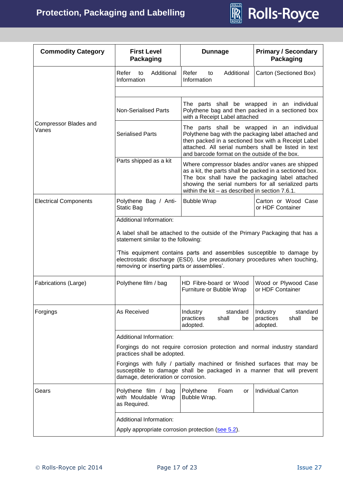

| <b>Commodity Category</b><br><b>First Level</b><br><b>Dunnage</b><br>Packaging |                                                                                                                                                                                                                                                                                                                           |                                                                                                                                                                                                                                                                               | <b>Primary / Secondary</b><br><b>Packaging</b>               |  |
|--------------------------------------------------------------------------------|---------------------------------------------------------------------------------------------------------------------------------------------------------------------------------------------------------------------------------------------------------------------------------------------------------------------------|-------------------------------------------------------------------------------------------------------------------------------------------------------------------------------------------------------------------------------------------------------------------------------|--------------------------------------------------------------|--|
|                                                                                | Refer<br>Additional<br>to<br>Information                                                                                                                                                                                                                                                                                  | Refer<br>Additional<br>to<br>Information                                                                                                                                                                                                                                      | Carton (Sectioned Box)                                       |  |
|                                                                                |                                                                                                                                                                                                                                                                                                                           |                                                                                                                                                                                                                                                                               |                                                              |  |
|                                                                                | <b>Non-Serialised Parts</b>                                                                                                                                                                                                                                                                                               | The parts shall be wrapped in an individual<br>Polythene bag and then packed in a sectioned box<br>with a Receipt Label attached                                                                                                                                              |                                                              |  |
| Compressor Blades and<br>Vanes                                                 | <b>Serialised Parts</b>                                                                                                                                                                                                                                                                                                   | The parts shall be wrapped in an individual<br>Polythene bag with the packaging label attached and<br>then packed in a sectioned box with a Receipt Label<br>attached. All serial numbers shall be listed in text<br>and barcode format on the outside of the box.            |                                                              |  |
|                                                                                | Parts shipped as a kit                                                                                                                                                                                                                                                                                                    | Where compressor blades and/or vanes are shipped<br>as a kit, the parts shall be packed in a sectioned box.<br>The box shall have the packaging label attached<br>showing the serial numbers for all serialized parts<br>within the $kit - as$ described in section $7.6.1$ . |                                                              |  |
| <b>Electrical Components</b>                                                   | Polythene Bag / Anti-<br>Static Bag                                                                                                                                                                                                                                                                                       | <b>Bubble Wrap</b><br>Carton or Wood Case<br>or HDF Container                                                                                                                                                                                                                 |                                                              |  |
|                                                                                | Additional Information:                                                                                                                                                                                                                                                                                                   |                                                                                                                                                                                                                                                                               |                                                              |  |
|                                                                                | A label shall be attached to the outside of the Primary Packaging that has a<br>statement similar to the following:<br>This equipment contains parts and assemblies susceptible to damage by<br>electrostatic discharge (ESD). Use precautionary procedures when touching,<br>removing or inserting parts or assemblies'. |                                                                                                                                                                                                                                                                               |                                                              |  |
| Fabrications (Large)                                                           | Polythene film / bag                                                                                                                                                                                                                                                                                                      | HD Fibre-board or Wood<br>Furniture or Bubble Wrap                                                                                                                                                                                                                            | Wood or Plywood Case<br>or HDF Container                     |  |
| Forgings                                                                       | As Received                                                                                                                                                                                                                                                                                                               | Industry<br>standard<br>practices<br>shall<br>be<br>adopted.                                                                                                                                                                                                                  | Industry<br>standard<br>practices<br>shall<br>be<br>adopted. |  |
|                                                                                | Additional Information:                                                                                                                                                                                                                                                                                                   |                                                                                                                                                                                                                                                                               |                                                              |  |
|                                                                                | Forgings do not require corrosion protection and normal industry standard<br>practices shall be adopted.                                                                                                                                                                                                                  |                                                                                                                                                                                                                                                                               |                                                              |  |
|                                                                                | Forgings with fully / partially machined or finished surfaces that may be<br>susceptible to damage shall be packaged in a manner that will prevent<br>damage, deterioration or corrosion.                                                                                                                                 |                                                                                                                                                                                                                                                                               |                                                              |  |
| Gears                                                                          | Polythene film / bag<br>with Mouldable Wrap<br>as Required.                                                                                                                                                                                                                                                               | Polythene<br>Foam<br>or<br>Bubble Wrap.                                                                                                                                                                                                                                       | <b>Individual Carton</b>                                     |  |
|                                                                                | Additional Information:                                                                                                                                                                                                                                                                                                   |                                                                                                                                                                                                                                                                               |                                                              |  |
|                                                                                | Apply appropriate corrosion protection (see 5.2).                                                                                                                                                                                                                                                                         |                                                                                                                                                                                                                                                                               |                                                              |  |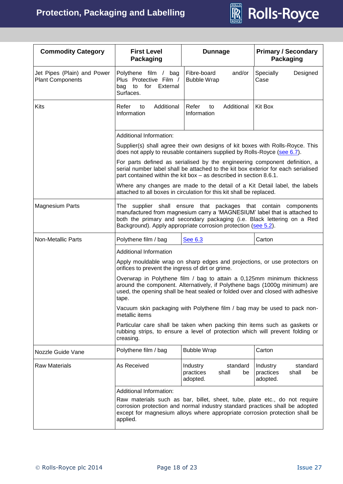

| <b>Commodity Category</b>                                                                                                                                                                                                                                                        | <b>First Level</b><br><b>Packaging</b>                                                                                                                                                                                                                                                    | <b>Dunnage</b>                                                                                                                                                                                                                         | <b>Primary / Secondary</b><br>Packaging                      |  |
|----------------------------------------------------------------------------------------------------------------------------------------------------------------------------------------------------------------------------------------------------------------------------------|-------------------------------------------------------------------------------------------------------------------------------------------------------------------------------------------------------------------------------------------------------------------------------------------|----------------------------------------------------------------------------------------------------------------------------------------------------------------------------------------------------------------------------------------|--------------------------------------------------------------|--|
| Jet Pipes (Plain) and Power<br><b>Plant Components</b>                                                                                                                                                                                                                           | Polythene film / bag<br>Plus Protective Film /<br>for External<br>bag to<br>Surfaces.                                                                                                                                                                                                     | Fibre-board<br>and/or<br><b>Bubble Wrap</b>                                                                                                                                                                                            | Designed<br>Specially<br>Case                                |  |
| Kits                                                                                                                                                                                                                                                                             | Additional<br>Refer<br>to<br>Information                                                                                                                                                                                                                                                  | Additional<br>Refer<br>to<br>Information                                                                                                                                                                                               | Kit Box                                                      |  |
|                                                                                                                                                                                                                                                                                  | Additional Information:                                                                                                                                                                                                                                                                   |                                                                                                                                                                                                                                        |                                                              |  |
|                                                                                                                                                                                                                                                                                  |                                                                                                                                                                                                                                                                                           | Supplier(s) shall agree their own designs of kit boxes with Rolls-Royce. This<br>does not apply to reusable containers supplied by Rolls-Royce (see 6.7).                                                                              |                                                              |  |
|                                                                                                                                                                                                                                                                                  |                                                                                                                                                                                                                                                                                           | For parts defined as serialised by the engineering component definition, a<br>serial number label shall be attached to the kit box exterior for each serialised<br>part contained within the kit box - as described in section 8.6.1.  |                                                              |  |
|                                                                                                                                                                                                                                                                                  |                                                                                                                                                                                                                                                                                           | Where any changes are made to the detail of a Kit Detail label, the labels<br>attached to all boxes in circulation for this kit shall be replaced.                                                                                     |                                                              |  |
| <b>Magnesium Parts</b>                                                                                                                                                                                                                                                           | The supplier shall ensure that packages that contain components<br>manufactured from magnesium carry a 'MAGNESIUM' label that is attached to<br>both the primary and secondary packaging (i.e. Black lettering on a Red<br>Background). Apply appropriate corrosion protection (see 5.2). |                                                                                                                                                                                                                                        |                                                              |  |
| <b>Non-Metallic Parts</b>                                                                                                                                                                                                                                                        | Polythene film / bag<br>See 6.3<br>Carton                                                                                                                                                                                                                                                 |                                                                                                                                                                                                                                        |                                                              |  |
|                                                                                                                                                                                                                                                                                  | <b>Additional Information</b>                                                                                                                                                                                                                                                             |                                                                                                                                                                                                                                        |                                                              |  |
|                                                                                                                                                                                                                                                                                  | orifices to prevent the ingress of dirt or grime.                                                                                                                                                                                                                                         | Apply mouldable wrap on sharp edges and projections, or use protectors on                                                                                                                                                              |                                                              |  |
|                                                                                                                                                                                                                                                                                  | tape.                                                                                                                                                                                                                                                                                     | Overwrap in Polythene film / bag to attain a 0,125mm minimum thickness<br>around the component. Alternatively, if Polythene bags (1000g minimum) are<br>used, the opening shall be heat sealed or folded over and closed with adhesive |                                                              |  |
|                                                                                                                                                                                                                                                                                  | metallic items                                                                                                                                                                                                                                                                            | Vacuum skin packaging with Polythene film / bag may be used to pack non-                                                                                                                                                               |                                                              |  |
|                                                                                                                                                                                                                                                                                  | Particular care shall be taken when packing thin items such as gaskets or<br>rubbing strips, to ensure a level of protection which will prevent folding or<br>creasing.                                                                                                                   |                                                                                                                                                                                                                                        |                                                              |  |
| Nozzle Guide Vane                                                                                                                                                                                                                                                                | Polythene film / bag                                                                                                                                                                                                                                                                      | <b>Bubble Wrap</b>                                                                                                                                                                                                                     | Carton                                                       |  |
| <b>Raw Materials</b>                                                                                                                                                                                                                                                             | As Received                                                                                                                                                                                                                                                                               | <b>Industry</b><br>standard<br>practices<br>shall<br>be<br>adopted.                                                                                                                                                                    | Industry<br>standard<br>practices<br>shall<br>be<br>adopted. |  |
| Additional Information:<br>Raw materials such as bar, billet, sheet, tube, plate etc., do not require<br>corrosion protection and normal industry standard practices shall be adopted<br>except for magnesium alloys where appropriate corrosion protection shall be<br>applied. |                                                                                                                                                                                                                                                                                           |                                                                                                                                                                                                                                        |                                                              |  |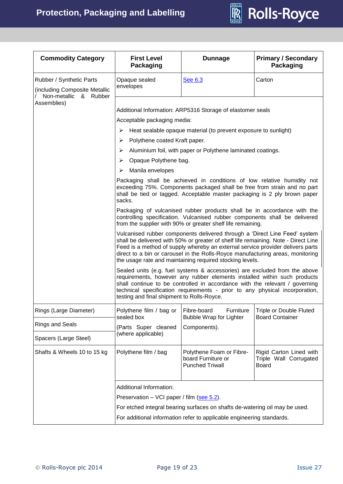

| <b>Commodity Category</b>                                 | <b>First Level</b><br><b>Packaging</b>                                                                                                                                                                                        | <b>Dunnage</b>                                                                                                                                                                                                                                                                                                                                                                                                                                                                                                                                                                                                                                                                                                                                                                                                                                                                                                                                                                                                                                                                                                                                                                                                                                         | <b>Primary / Secondary</b><br><b>Packaging</b>                    |
|-----------------------------------------------------------|-------------------------------------------------------------------------------------------------------------------------------------------------------------------------------------------------------------------------------|--------------------------------------------------------------------------------------------------------------------------------------------------------------------------------------------------------------------------------------------------------------------------------------------------------------------------------------------------------------------------------------------------------------------------------------------------------------------------------------------------------------------------------------------------------------------------------------------------------------------------------------------------------------------------------------------------------------------------------------------------------------------------------------------------------------------------------------------------------------------------------------------------------------------------------------------------------------------------------------------------------------------------------------------------------------------------------------------------------------------------------------------------------------------------------------------------------------------------------------------------------|-------------------------------------------------------------------|
| Rubber / Synthetic Parts<br>(including Composite Metallic | Opaque sealed<br>envelopes                                                                                                                                                                                                    | See 6.3                                                                                                                                                                                                                                                                                                                                                                                                                                                                                                                                                                                                                                                                                                                                                                                                                                                                                                                                                                                                                                                                                                                                                                                                                                                | Carton                                                            |
| Non-metallic & Rubber<br>Assemblies)                      | Acceptable packaging media:<br>➤<br>➤<br>➤<br>Opaque Polythene bag.<br>≻<br>Manila envelopes<br>⋗<br>sacks.<br>shall continue to be controlled in accordance with the relevant / governing                                    | Additional Information: ARP5316 Storage of elastomer seals<br>Heat sealable opaque material (to prevent exposure to sunlight)<br>Polythene coated Kraft paper.<br>Aluminium foil, with paper or Polythene laminated coatings.<br>Packaging shall be achieved in conditions of low relative humidity not<br>exceeding 75%. Components packaged shall be free from strain and no part<br>shall be tied or tagged. Acceptable master packaging is 2 ply brown paper<br>Packaging of vulcanised rubber products shall be in accordance with the<br>controlling specification. Vulcanised rubber components shall be delivered<br>from the supplier with 90% or greater shelf life remaining.<br>Vulcanised rubber components delivered through a 'Direct Line Feed' system<br>shall be delivered with 50% or greater of shelf life remaining. Note - Direct Line<br>Feed is a method of supply whereby an external service provider delivers parts<br>direct to a bin or carousel in the Rolls-Royce manufacturing areas, monitoring<br>the usage rate and maintaining required stocking levels.<br>Sealed units (e.g. fuel systems & accessories) are excluded from the above<br>requirements, however any rubber elements installed within such products |                                                                   |
|                                                           | testing and final shipment to Rolls-Royce.                                                                                                                                                                                    | technical specification requirements - prior to any physical incorporation,                                                                                                                                                                                                                                                                                                                                                                                                                                                                                                                                                                                                                                                                                                                                                                                                                                                                                                                                                                                                                                                                                                                                                                            |                                                                   |
| Rings (Large Diameter)<br><b>Rings and Seals</b>          | Polythene film / bag or<br>sealed box<br>(Parts Super cleaned                                                                                                                                                                 | Fibre-board<br>Furniture<br><b>Bubble Wrap for Lighter</b><br>Components).                                                                                                                                                                                                                                                                                                                                                                                                                                                                                                                                                                                                                                                                                                                                                                                                                                                                                                                                                                                                                                                                                                                                                                             | <b>Triple or Double Fluted</b><br><b>Board Container</b>          |
| Spacers (Large Steel)                                     | (where applicable)                                                                                                                                                                                                            |                                                                                                                                                                                                                                                                                                                                                                                                                                                                                                                                                                                                                                                                                                                                                                                                                                                                                                                                                                                                                                                                                                                                                                                                                                                        |                                                                   |
| Shafts & Wheels 10 to 15 kg                               | Polythene film / bag                                                                                                                                                                                                          | Polythene Foam or Fibre-<br>board Furniture or<br><b>Punched Triwall</b>                                                                                                                                                                                                                                                                                                                                                                                                                                                                                                                                                                                                                                                                                                                                                                                                                                                                                                                                                                                                                                                                                                                                                                               | Rigid Carton Lined with<br>Triple Wall Corrugated<br><b>Board</b> |
|                                                           | Additional Information:<br>Preservation – VCI paper / film (see 5.2).<br>For etched integral bearing surfaces on shafts de-watering oil may be used.<br>For additional information refer to applicable engineering standards. |                                                                                                                                                                                                                                                                                                                                                                                                                                                                                                                                                                                                                                                                                                                                                                                                                                                                                                                                                                                                                                                                                                                                                                                                                                                        |                                                                   |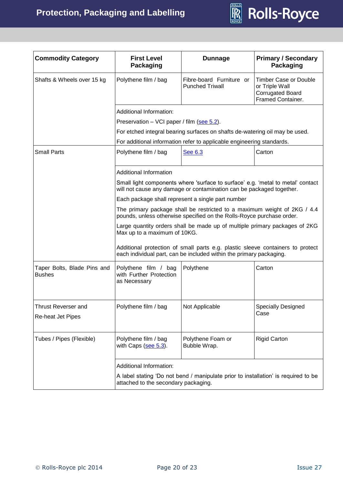

| <b>Commodity Category</b>                    | <b>First Level</b><br><b>Packaging</b>                                                                                                                  | <b>Dunnage</b>                                                                                                                                        | <b>Primary / Secondary</b><br><b>Packaging</b>                                                 |  |
|----------------------------------------------|---------------------------------------------------------------------------------------------------------------------------------------------------------|-------------------------------------------------------------------------------------------------------------------------------------------------------|------------------------------------------------------------------------------------------------|--|
| Shafts & Wheels over 15 kg                   | Polythene film / bag                                                                                                                                    | Fibre-board Furniture or<br><b>Punched Triwall</b>                                                                                                    | <b>Timber Case or Double</b><br>or Triple Wall<br><b>Corrugated Board</b><br>Framed Container. |  |
|                                              | Additional Information:                                                                                                                                 |                                                                                                                                                       |                                                                                                |  |
|                                              | Preservation - VCI paper / film (see 5.2).                                                                                                              |                                                                                                                                                       |                                                                                                |  |
|                                              |                                                                                                                                                         | For etched integral bearing surfaces on shafts de-watering oil may be used.                                                                           |                                                                                                |  |
|                                              |                                                                                                                                                         | For additional information refer to applicable engineering standards.                                                                                 |                                                                                                |  |
| <b>Small Parts</b>                           | Polythene film / bag                                                                                                                                    | See 6.3                                                                                                                                               | Carton                                                                                         |  |
|                                              | <b>Additional Information</b>                                                                                                                           |                                                                                                                                                       |                                                                                                |  |
|                                              | Small light components where 'surface to surface' e.g. 'metal to metal' contact<br>will not cause any damage or contamination can be packaged together. |                                                                                                                                                       |                                                                                                |  |
|                                              |                                                                                                                                                         | Each package shall represent a single part number                                                                                                     |                                                                                                |  |
|                                              | The primary package shall be restricted to a maximum weight of 2KG / 4.4<br>pounds, unless otherwise specified on the Rolls-Royce purchase order.       |                                                                                                                                                       |                                                                                                |  |
|                                              | Large quantity orders shall be made up of multiple primary packages of 2KG<br>Max up to a maximum of 10KG.                                              |                                                                                                                                                       |                                                                                                |  |
|                                              |                                                                                                                                                         | Additional protection of small parts e.g. plastic sleeve containers to protect<br>each individual part, can be included within the primary packaging. |                                                                                                |  |
| Taper Bolts, Blade Pins and<br><b>Bushes</b> | Polythene film / bag<br>with Further Protection<br>as Necessary                                                                                         | Polythene                                                                                                                                             | Carton                                                                                         |  |
| Thrust Reverser and                          | Polythene film / bag                                                                                                                                    | Not Applicable                                                                                                                                        | <b>Specially Designed</b>                                                                      |  |
| Re-heat Jet Pipes                            |                                                                                                                                                         |                                                                                                                                                       | Case                                                                                           |  |
| Tubes / Pipes (Flexible)                     | Polythene film / bag<br>with Caps (see 5.3).                                                                                                            | Polythene Foam or<br>Bubble Wrap.                                                                                                                     | <b>Rigid Carton</b>                                                                            |  |
|                                              | Additional Information:                                                                                                                                 |                                                                                                                                                       |                                                                                                |  |
|                                              | A label stating 'Do not bend / manipulate prior to installation' is required to be<br>attached to the secondary packaging.                              |                                                                                                                                                       |                                                                                                |  |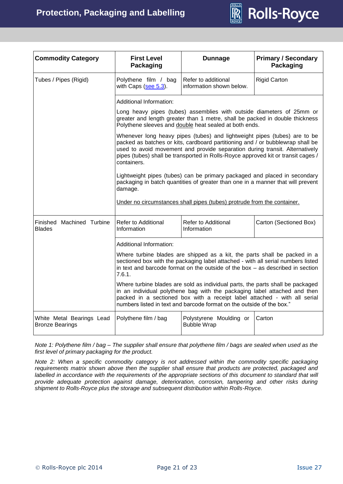

| <b>Commodity Category</b>                           | <b>First Level</b><br>Packaging                                                                                                                                                                                                                                                                                                                | <b>Dunnage</b>                                                                                                                                                                                                                                    | <b>Primary / Secondary</b><br>Packaging |  |
|-----------------------------------------------------|------------------------------------------------------------------------------------------------------------------------------------------------------------------------------------------------------------------------------------------------------------------------------------------------------------------------------------------------|---------------------------------------------------------------------------------------------------------------------------------------------------------------------------------------------------------------------------------------------------|-----------------------------------------|--|
| Tubes / Pipes (Rigid)                               | Polythene film / bag<br>with Caps (see 5.3).                                                                                                                                                                                                                                                                                                   | Refer to additional<br>information shown below.                                                                                                                                                                                                   | <b>Rigid Carton</b>                     |  |
|                                                     | Additional Information:                                                                                                                                                                                                                                                                                                                        |                                                                                                                                                                                                                                                   |                                         |  |
|                                                     | Long heavy pipes (tubes) assemblies with outside diameters of 25mm or<br>greater and length greater than 1 metre, shall be packed in double thickness<br>Polythene sleeves and double heat sealed at both ends.                                                                                                                                |                                                                                                                                                                                                                                                   |                                         |  |
|                                                     | Whenever long heavy pipes (tubes) and lightweight pipes (tubes) are to be<br>packed as batches or kits, cardboard partitioning and / or bubblewrap shall be<br>used to avoid movement and provide separation during transit. Alternatively<br>pipes (tubes) shall be transported in Rolls-Royce approved kit or transit cages /<br>containers. |                                                                                                                                                                                                                                                   |                                         |  |
|                                                     | Lightweight pipes (tubes) can be primary packaged and placed in secondary<br>packaging in batch quantities of greater than one in a manner that will prevent<br>damage.                                                                                                                                                                        |                                                                                                                                                                                                                                                   |                                         |  |
|                                                     | Under no circumstances shall pipes (tubes) protrude from the container.                                                                                                                                                                                                                                                                        |                                                                                                                                                                                                                                                   |                                         |  |
| Finished Machined Turbine<br><b>Blades</b>          | Refer to Additional<br>Information                                                                                                                                                                                                                                                                                                             | Refer to Additional<br>Information                                                                                                                                                                                                                | Carton (Sectioned Box)                  |  |
|                                                     | Additional Information:                                                                                                                                                                                                                                                                                                                        |                                                                                                                                                                                                                                                   |                                         |  |
|                                                     | 7.6.1.                                                                                                                                                                                                                                                                                                                                         | Where turbine blades are shipped as a kit, the parts shall be packed in a<br>sectioned box with the packaging label attached - with all serial numbers listed<br>in text and barcode format on the outside of the box $-$ as described in section |                                         |  |
|                                                     | Where turbine blades are sold as individual parts, the parts shall be packaged<br>in an individual polythene bag with the packaging label attached and then<br>packed in a sectioned box with a receipt label attached - with all serial<br>numbers listed in text and barcode format on the outside of the box."                              |                                                                                                                                                                                                                                                   |                                         |  |
| White Metal Bearings Lead<br><b>Bronze Bearings</b> | Polythene film / bag<br>Polystyrene Moulding or<br>Carton<br><b>Bubble Wrap</b>                                                                                                                                                                                                                                                                |                                                                                                                                                                                                                                                   |                                         |  |

*Note 1: Polythene film / bag – The supplier shall ensure that polythene film / bags are sealed when used as the first level of primary packaging for the product.*

*Note 2: When a specific commodity category is not addressed within the commodity specific packaging requirements matrix shown above then the supplier shall ensure that products are protected, packaged and labelled in accordance with the requirements of the appropriate sections of this document to standard that will provide adequate protection against damage, deterioration, corrosion, tampering and other risks during shipment to Rolls-Royce plus the storage and subsequent distribution within Rolls-Royce.*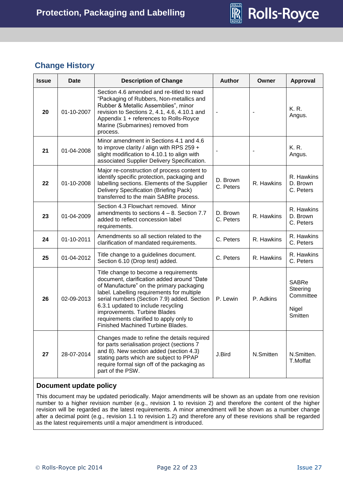

# <span id="page-21-0"></span>**Change History**

| <b>Issue</b> | <b>Date</b> | <b>Description of Change</b>                                                                                                                                                                                                                                                                                                                                                       | <b>Author</b>            | Owner      | <b>Approval</b>                                    |
|--------------|-------------|------------------------------------------------------------------------------------------------------------------------------------------------------------------------------------------------------------------------------------------------------------------------------------------------------------------------------------------------------------------------------------|--------------------------|------------|----------------------------------------------------|
| 20           | 01-10-2007  | Section 4.6 amended and re-titled to read<br>"Packaging of Rubbers, Non-metallics and<br>Rubber & Metallic Assemblies", minor<br>revision to Sections 2, 4.1, 4.6, 4.10.1 and<br>Appendix 1 + references to Rolls-Royce<br>Marine (Submarines) removed from<br>process.                                                                                                            | $\overline{\phantom{a}}$ |            | K.R.<br>Angus.                                     |
| 21           | 01-04-2008  | Minor amendment in Sections 4.1 and 4.6<br>to improve clarity / align with RPS 259 $+$<br>slight modification to 4.10.1 to align with<br>associated Supplier Delivery Specification.                                                                                                                                                                                               | ÷                        |            | K.R.<br>Angus.                                     |
| 22           | 01-10-2008  | Major re-construction of process content to<br>identify specific protection, packaging and<br>labelling sections. Elements of the Supplier<br>Delivery Specification (Briefing Pack)<br>transferred to the main SABRe process.                                                                                                                                                     | D. Brown<br>C. Peters    | R. Hawkins | R. Hawkins<br>D. Brown<br>C. Peters                |
| 23           | 01-04-2009  | Section 4.3 Flowchart removed. Minor<br>amendments to sections $4 - 8$ . Section 7.7<br>added to reflect concession label<br>requirements.                                                                                                                                                                                                                                         | D. Brown<br>C. Peters    | R. Hawkins | R. Hawkins<br>D. Brown<br>C. Peters                |
| 24           | 01-10-2011  | Amendments so all section related to the<br>clarification of mandated requirements.                                                                                                                                                                                                                                                                                                | C. Peters                | R. Hawkins | R. Hawkins<br>C. Peters                            |
| 25           | 01-04-2012  | Title change to a guidelines document.<br>Section 6.10 (Drop test) added.                                                                                                                                                                                                                                                                                                          | C. Peters                | R. Hawkins | R. Hawkins<br>C. Peters                            |
| 26           | 02-09-2013  | Title change to become a requirements<br>document, clarification added around "Date<br>of Manufacture" on the primary packaging<br>label. Labelling requirements for multiple<br>serial numbers (Section 7.9) added. Section<br>6.3.1 updated to include recycling<br>improvements. Turbine Blades<br>requirements clarified to apply only to<br>Finished Machined Turbine Blades. | P. Lewin                 | P. Adkins  | SABRe<br>Steering<br>Committee<br>Nigel<br>Smitten |
| 27           | 28-07-2014  | Changes made to refine the details required<br>for parts serialisation project (sections 7<br>and 8). New section added (section 4.3)<br>stating parts which are subject to PPAP<br>require formal sign off of the packaging as<br>part of the PSW.                                                                                                                                | J.Bird                   | N.Smitten  | N.Smitten.<br>T.Moffat                             |

# **Document update policy**

This document may be updated periodically. Major amendments will be shown as an update from one revision number to a higher revision number (e.g., revision 1 to revision 2) and therefore the content of the higher revision will be regarded as the latest requirements. A minor amendment will be shown as a number change after a decimal point (e.g., revision 1.1 to revision 1.2) and therefore any of these revisions shall be regarded as the latest requirements until a major amendment is introduced.